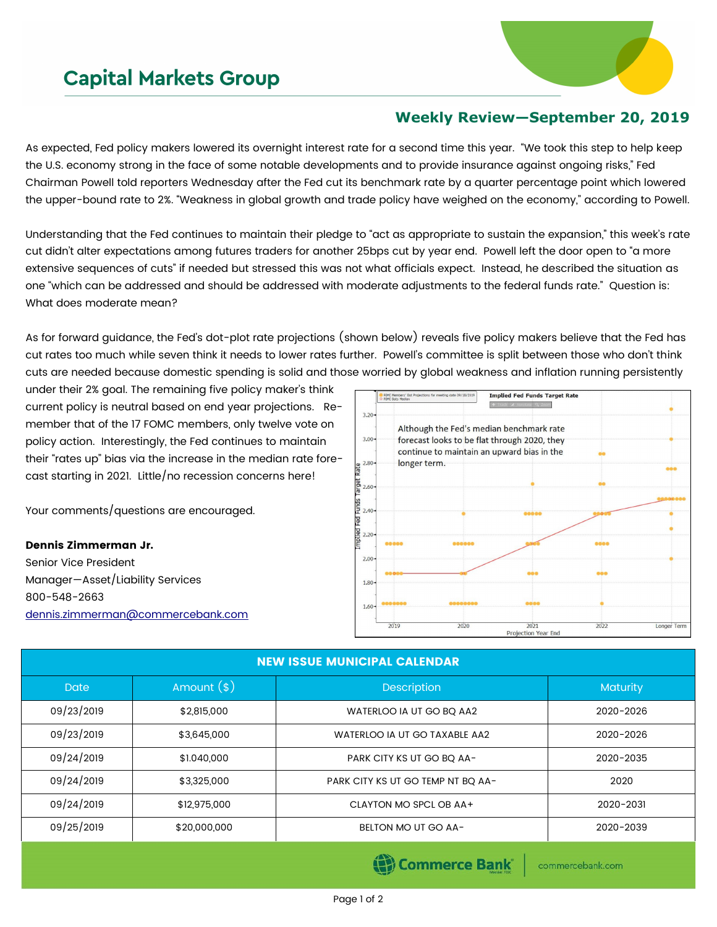## **Capital Markets Group**



## **Weekly Review—September 20, 2019**

As expected, Fed policy makers lowered its overnight interest rate for a second time this year. "We took this step to help keep the U.S. economy strong in the face of some notable developments and to provide insurance against ongoing risks," Fed Chairman Powell told reporters Wednesday after the Fed cut its benchmark rate by a quarter percentage point which lowered the upper-bound rate to 2%. "Weakness in global growth and trade policy have weighed on the economy," according to Powell.

Understanding that the Fed continues to maintain their pledge to "act as appropriate to sustain the expansion," this week's rate cut didn't alter expectations among futures traders for another 25bps cut by year end. Powell left the door open to "a more extensive sequences of cuts" if needed but stressed this was not what officials expect. Instead, he described the situation as one "which can be addressed and should be addressed with moderate adjustments to the federal funds rate." Question is: What does moderate mean?

As for forward guidance, the Fed's dot-plot rate projections (shown below) reveals five policy makers believe that the Fed has cut rates too much while seven think it needs to lower rates further. Powell's committee is split between those who don't think cuts are needed because domestic spending is solid and those worried by global weakness and inflation running persistently

under their 2% goal. The remaining five policy maker's think current policy is neutral based on end year projections. Remember that of the 17 FOMC members, only twelve vote on policy action. Interestingly, the Fed continues to maintain their "rates up" bias via the increase in the median rate forecast starting in 2021. Little/no recession concerns here!

Your comments/questions are encouraged.

## Dennis Zimmerman Jr.

Senior Vice President Manager—Asset/Liability Services 800-548-2663 [dennis.zimmerman@commercebank.com](mailto:Dennis.Zimmerman@commercebank.com)



| <b>NEW ISSUE MUNICIPAL CALENDAR</b> |               |                                   |                 |  |  |
|-------------------------------------|---------------|-----------------------------------|-----------------|--|--|
| <b>Date</b>                         | Amount $(\$)$ | <b>Description</b>                | <b>Maturity</b> |  |  |
| 09/23/2019                          | \$2,815,000   | WATERLOO IA UT GO BQ AA2          | 2020-2026       |  |  |
| 09/23/2019                          | \$3,645,000   | WATERLOO IA UT GO TAXABLE AA2     | 2020-2026       |  |  |
| 09/24/2019                          | \$1,040,000   | PARK CITY KS UT GO BQ AA-         | 2020-2035       |  |  |
| 09/24/2019                          | \$3,325,000   | PARK CITY KS UT GO TEMP NT BO AA- | 2020            |  |  |
| 09/24/2019                          | \$12,975,000  | CLAYTON MO SPCL OB AA+            | 2020-2031       |  |  |
| 09/25/2019                          | \$20,000,000  | BELTON MO UT GO AA-               | 2020-2039       |  |  |

(S) Commerce Bank

commercebank.com